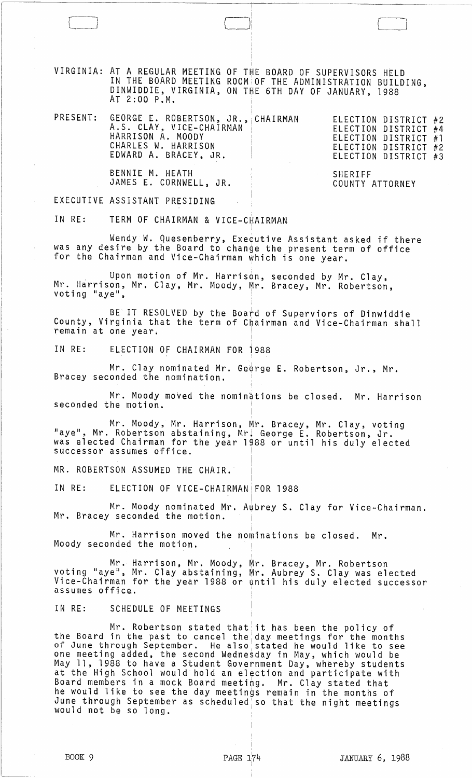VIRGINIA: AT A REGULAR MEETING OF THE BOARD OF SUPERVISORS HELD IN THE BOARD MEETING ROOM OF THE ADMINISTRATION BUILDING, DINWIDDIE, VIRGINIA, ON THE 6TH DAY OF JANUARY, 1988 AT 2:00 P.M.

<sup>I</sup>l\_J 0: ]

|  | PRESENT: GEORGE E. ROBERTSON, JR., CHAIRMAN<br>A.S. CLAY, VICE-CHAIRMAN<br>HARRISON A. MOODY<br>CHARLES W. HARRISON<br>EDWARD A. BRACEY, JR. |                            | ELECTION DISTRICT #2<br>ELECTION DISTRICT #4<br>ELECTION DISTRICT #1<br>ELECTION DISTRICT #2<br>ELECTION DISTRICT #3 |  |
|--|----------------------------------------------------------------------------------------------------------------------------------------------|----------------------------|----------------------------------------------------------------------------------------------------------------------|--|
|  | BENNIE M. HEATH<br>JAMES E. CORNWELL, JR.                                                                                                    | SHERIFF<br>COUNTY ATTORNEY |                                                                                                                      |  |

#### EXECUTIVE ASSISTANT PRESIDING

IN RE: TERM OF CHAIRMAN & VICE-CHAIRMAN

Wendy W. Quesenberry, Executive Assistant asked if there was any desire by the Board to change the present term of office for the Chairman and Vice-Chairman which is one year.

Upon motion of Mr. Harrison, seconded by Mr. Clay,<br>Mr. Harrison, Mr. Clay, Mr. Moody, Mr. Bracey, Mr. Robertson,<br>voting "aye",

BE IT RESOLVED by the Board of Superviors of Dinwiddie County, Virginia that the term of Chairman and Vice-Chairman shall remain at one year. I

i

IN RE: ELECTION OF CHAIRMAN FOR i988

Mr. Clay nominated Mr. George E. Robertson, Jr., Mr. Bracey seconded the nomination.

Mr. Moody moved the nominations be closed. Mr. Harrison seconded the motion.

I

Mr. Moody, Mr. Harrison, Mr. Bracey, Mr. Clay, voting laye", Mr. Robertson abstaining, Mr. George E. Robertson, Jr. was elected Chairman for the year 1988 or until his duly elected successor assumes office.

MR. ROBERTSON ASSUMED THE CHAIR.

IN RE: ELECTION OF VICE-CHAIRMAN FOR 1988

Mr. Moody nominated Mr. Aubrey S. Clay for Vice-Chairman. Mr. Bracey seconded the motion.

i Mr. Harrison *moved* the nominations be closed. Mr. Moody seconded the motion.

Mr. Harrison, Mr. Moody, Mr. Bracey, Mr. Robertson voting "aye", Mr. Clay abstaining, Mr. Aubrey S. Clay was elected Vice-Chairman for the year 1988 or until his duly elected successor assumes office.

IN RE: SCHEDULE OF MEETINGS

Mr. Robertson stated that it has been the policy of the Board in the past to cancel the day meetings for the months of June through September. He also stated he would like to see one meeting added, the second Wedne day in May, which would be May 11, 1988 to have a Student Government Day, whereby students at the High School would hold an election and participate with Board members in a mock Board meeting. Mr. Clay stated that he would like to see the day meetings remain in the months of June through September as scheduled so that the night meetings would not be so long.

I

JANUARY 6, 1988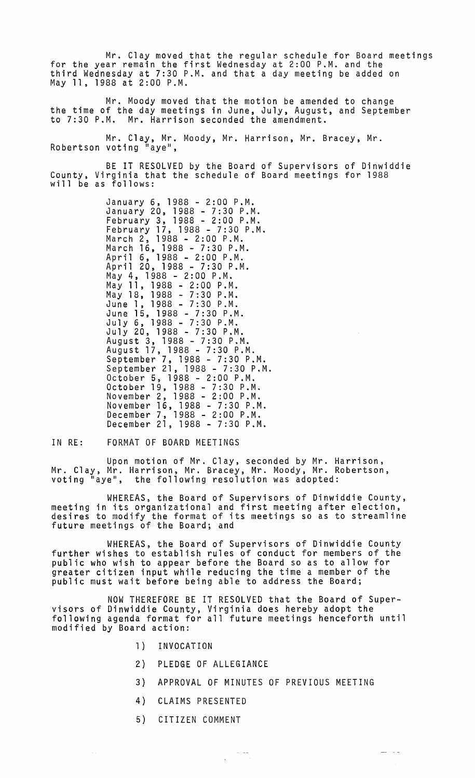Mr. Clay moved that the regular schedule for Board meetings for the year remain the first Wednesday at 2:00 P.M. and the third Wednesday at 7:30 P.M. and that a day meeting be added on May 11, 1988 at 2:00 P.M.

Mr. Moody moved that the motion be amended to change the time of the day meetings in June, July, August, and September to 7:30 P.M. Mr. Harrison seconded the amendment.

Mr. Clay, Mr. Moody, Mr. Harrison, Mr. Bracey, Mr. Robertson voting "aye",

BE IT RESOLVED by the Board of Supervisors of Dinwiddie County, Virginia that the schedule of Board meetings for 1988 will be as follows:

> January 6, 1988 - 2:00 P.M. January 20, 1988 - 7:30 P.M. February 3, 1988 - 2:00 P.M. February 17, 1988 - 7:30 P.M. March 2, 1988 - 2:00 P.M. March 16, 1988 - 7:30 P.M. April 6, 1988 - 2:00 P.M. April 20, 1988 - 7:30 P.M. May 4, 1988 - 2:00 P.M. May 11, 1988 - 2:00 P.M. May 18, 1988 - 7:30 P.M. June 1, 1988 - 7:30 P.M. June 15, 1988 - 7:30 P.M. July 6, 1988 - 7:30 P.M. July 20, 1988 - 7:30 P.M. August 3, 1988 - 7:30 P.M. August 17, 1988 - 7:30 P.M. September 7, 1988 - 7:30 P.M. September 21, 1988 - 7:30 P.M. October 5, 1988 - 2:00 P.M. October 19, 1988 - 7:30 P.M. November 2, 1988 - 2:00 P.M. November 16, 1988 - 7:30 P.M. December 7, 1988 - 2:00 P.M. December 21, 1988 - 7:30 P.M.

#### IN RE: FORMAT OF BOARD MEETINGS

Upon motion of Mr. Clay, seconded by Mr. Harrison, Mr. Clay, Mr. Harrison, Mr. Bracey, Mr. Moody, Mr. Robertson, voting "aye", the following resolution was adopted:

WHEREAS, the Board of Supervisors of Dinwiddie County, meeting in its organizational and first meeting after election, desires to modify the format of its meetings so as to streamline future meetings of the Board; and

WHEREAS, the Board of Supervisors of Dinwiddie County further wishes to establish rules of conduct for members of the public who wish to appear before the Board so as to allow for greater citizen input while reducing the time a member of the public must wait before being able to address the Board;

NOW THEREFORE BE IT RESOLVED that the Board of Supervisors of Dinwiddie County, Virginia does hereby adopt the following agenda format for all future meetings henceforth until modified by Board action:

- l} INVOCATION
- 2) PLEDGE OF ALLEGIANCE
- 3 ) APPROVAL OF MINUTES OF PREVIOUS MEETING

 $\gamma = -\pi \omega$ 

 $\frac{1}{2}$  and  $\frac{1}{2}$  . In  $\frac{1}{2}$ 

- 4) CLAIMS PRESENTED
- 5) CITIZEN COMMENT

 $\hat{\mathcal{A}}$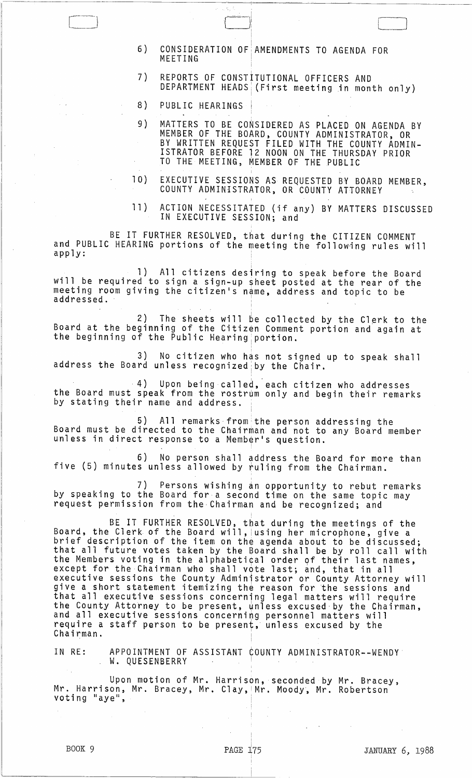6 ) CONSIDERATION OF AMENDMENTS TO AGENDA FOR **MEETING** 

I  $\Box$ 

> !  $\mathbf{I}$

7 ) REPORTS OF CONSTITUTIONAL OFFICERS AND <code>DEPARTMENT HEADS</code> (First meeting in month only)

 $\Box$ 

- 8) PUBLIC HEARINGS
- 9 ) MATTERS TO BE CONSIDERED AS PLACED ON AGENDA BY MEMBER OF THE BOARD, COUNTY ADMINISTRATOR, OR BY WRITTEN REQUEST FILED WITH THE COUNTY ADMIN-ISTRATOR BEFORE 12 NOON ON THE THURSDAY PRIOR TO THE MEETING, MEMBER OF THE PUBLIC
- $10)$ EXECUTIVE SESSIONS AS REQUESTED BY BOARD MEMBER, COUNTY ADMINISTRATOR, OR COUNTY ATTORNEY
- 11) ACTION NECESSITATED (if any) BY MATTERS DISCUSSED IN EXECUTIVE SESSION; and

BE IT FURTHER RESOLVED, that during the CITIZEN COMMENT and PUBLIC HEARING portions of the meeting the following rules will  $app1y:$ 

1) All citizens desiring to speak before the Board will be required to sign a sign-up sheet posted at the rear of the meeting room giving the citizen's name, address and topic to be addressed. <sup>I</sup>

2) The sheets will be collected by the Clerk to the Board at the beginning of the Citizen Comment portion and again at the beginning of the Public Hearing portion.

i.

,

,

3) No citizen who has not signed up to speak shall address the Board unless recognized by the Chair.

4) Upon being called, each citizen who addresses the Board must speak from the rostrum only and begin their remarks by stating their name and address.

5) All remarks from the person addressing the Board must be directed to the Chairman and not to any Board member unless in direct response to a Member's question.

6) No person shall address the Board for more than five (5) minutes unless allowed by ruling from the Chairman.

7) Persons wishing an opportunity to rebut remarks by speaking to the Board fora second time on the same topic may request permission from the,Chairman and be recognized; and

BE IT FURTHER RESOLVED, that during the meetings of the Board, the Clerk of the Board will, lusing her microphone, give a brief description of the item on the agenda about to be discussed; that all future votes taken by the Board shall be by roll call with the Members voting in the alphabetical order of their last names, except for the Chairman who shall vote last; and, that in all executive sessions the County Administrator or County Attorney will give a short statement itemizing the reason for the sessions and that all executive sessions concerning legal matters will require<br>the County Attorney to be present, unless excused by the Chairman, and all executive sessions concerning personnel matters will require a staff person to be present, unless excused by the Chairman. '

IN RE: APPOINTMENT OF ASSISTANT COUNTY ADMINISTRATOR--WENDY W. QUESENBERRY

Upon motion of Mr. Harrison, seconded by Mr. Bracey,<br>Mr. Harrison, Mr. Bracey, Mr. Clay, Mr. Moody, Mr. Robertson voting "aye",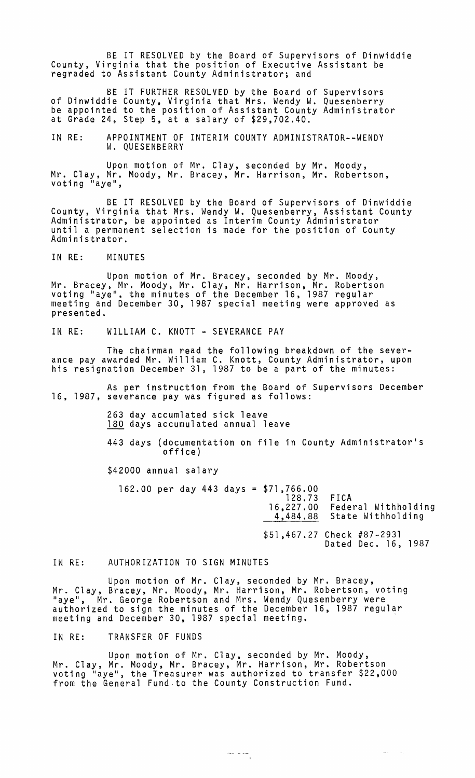BE IT RESOLVED by the Board of Supervisors of Dinwiddie County, Virginia that the position of Executive Assistant be regraded to Assistant County Administrator; and

BE IT FURTHER RESOLVED by the Board of Supervisors<br>of Dinwiddie County, Virginia that Mrs. Wendy W. Quesenberry<br>be appointed to the position of Assistant County Administrator at Grade 24, Step 5, at a salary of \$29,702.40.

IN RE: APPOINTMENT OF INTERIM COUNTY ADMINISTRATOR--WENDY W. QUESENBERRY

Upon motion of Mr. Clay, seconded by Mr. Moody, Mr. Clay, Mr. Moody, Mr. Bracey, Mr. Harrison, Mr. Robertson, voting "aye",

BE IT RESOLVED by the Board of Supervisors of Dinwiddie County, Virginia that Mrs. Wendy W. Quesenberry, Assistant County Administrator, be appointed as Interim County Administrator Administrator, be appointed as Interim County Administrator<br>until a permanent selection is made for the position of County<br>Administrator.

IN RE: MINUTES

Upon motion of Mr. Bracey, seconded by Mr. Moody, Mr. Bracey, Mr. Moody, Mr. Clay, Mr. Harrison, Mr. Robertson voting "aye", the minutes of the December 16, 1987 regular<br>meeting and December 30, 1987 special meeting were approved as presented.

IN RE: WILLIAM C. KNOTT - SEVERANCE PAY

The chairman read the following breakdown of the severance pay awarded Mr. William C. Knott, County Administrator, upon<br>his resignation December 31, 1987 to be a part of the minutes:

As per instruction from the Board of Supervisors December 16, 1987, severance pay was figured as follows:

> 263 day accum1ated sick leave 180 days accumulated annual leave

443 days (documentation on file in County Administrator's office)

\$42000 annual salary

162.00 per day 443 days = \$71,766.00 128.73 16,227.00 4,484.88 FICA Federal Withholding<br>State Withholding \$51,467.27 Check #87-2931 Dated Dec. 16, 1987

IN RE: AUTHORIZATION TO SIGN MINUTES

Upon motion of Mr. Clay, seconded by Mr. Bracey, Mr. Clay, Bracey, Mr. Moody, Mr. Harrison, Mr. Robertson, voting<br>"aye", Mr. George Robertson and Mrs. Wendy Quesenberry were authorized to sign the minutes of the December 16, 1987 regular meeting and December 30, 1987 special meeting. -

IN RE: TRANSFER OF FUNDS

Upon motion of Mr. Clay, seconded by Mr. Moody, Mr. Clay, Mr. Moody, Mr. Bracey, Mr. Harrison, Mr. Robertson which way, will be been to the maillead to transfer \$22,000 from the General Fund·to the County Construction Fund.

 $\frac{1}{\sqrt{2}}\int_{0}^{\sqrt{2}}\frac{1}{\sqrt{2}}\left( \frac{1}{\sqrt{2}}\right) \frac{1}{\sqrt{2}}\left( \frac{1}{\sqrt{2}}\right) \frac{1}{\sqrt{2}}\left( \frac{1}{\sqrt{2}}\right) \frac{1}{\sqrt{2}}\left( \frac{1}{\sqrt{2}}\right) \frac{1}{\sqrt{2}}\left( \frac{1}{\sqrt{2}}\right) \frac{1}{\sqrt{2}}\left( \frac{1}{\sqrt{2}}\right) \frac{1}{\sqrt{2}}\left( \frac{1}{\sqrt{2}}\right) \frac{1}{\sqrt{2}}\left( \frac{1$ 

 $\label{eq:1} \frac{1}{2} \frac{1}{2} \frac{1}{2} \frac{1}{2} \left( \frac{1}{2} \right) \left( \frac{1}{2} \right) \left( \frac{1}{2} \right) \left( \frac{1}{2} \right) \left( \frac{1}{2} \right)$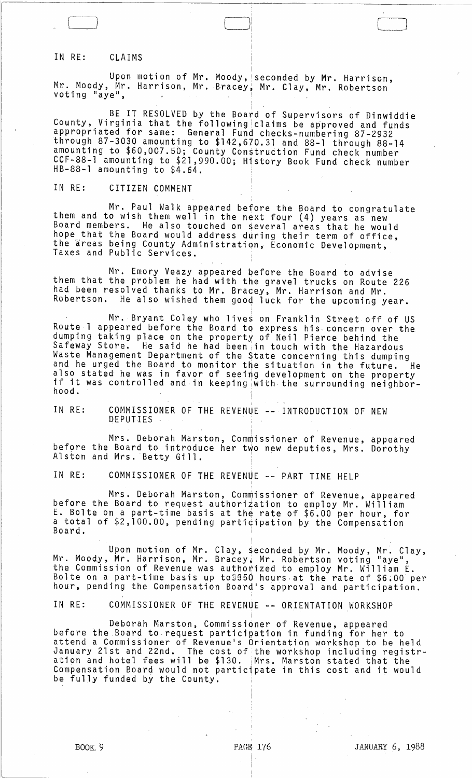## IN RE: CLAIMS

 $\overline{\phantom{0}}$ 

Upon motion of Mr. Moody, seconded by Mr. Harrison, Mr. Moody, Mr. Harrison, Mr. Bracey, Mr. Clay, Mr. Robertson voting "aye",

BE IT RESOLVED by the Board of Supervisors of Dinwiddie County, Virginia that the following claims be approved and funds appropriated for same: General Fund checks-numbering 87-2932 through 87-3030 amounting to \$142,670.31 and 88-1 through 88-14 amounting to \$60,007.50; County Construction Fund check number CCF-88-1 amounting to \$21,990.00; History Book Fund check number  $HB-88-1$  amounting to  $$4.64$ .

## IN RE: CITIZEN COMMENT

Mr. Paul Walk appeared before the Board to congratulate<br>them and to wish them well in the next four (4) years as new Board members. He also touched on several areas that he would hope that the Board would address during their term of office, the areas being County Administration, Economic Development,<br>Taxes and Public Services.

Mr. Emory Veazy appeared before the Board to advise them that the problem he had with the gravel trucks on Route 226 had been resolved thanks to Mr. Bracey, Mr. Harrison and Mr. Robertson. He also wished them good luck for the upcoming year.

Mr. Bryant Coley who lives on Franklin Street off of US Route 1 appeared before the Board to express his, concern over the dumping taking place on the property of Neil Pierce behind the Safeway Store. He said he had been in touch with the Hazardous Waste Management Department of the State concerning this dumping and he urged the Board to monitor the situation in the future. He also stated he was in favor of seeing development on the property if it was controlled and in keeping with the surrounding neighbor-<br>hood.

,

IN RE: <sup>I</sup> COMMISSIONER OF THE REVENUE **--** INTRODUCTION OF NEW DEPUTIES

Mrs. Deborah Marston, Commissioner of Revenue, appeared before the Board to introduce her two new deputies, Mrs. Dorothy Alston and Mrs. Betty Gill.

IN RE: COMMISSIONER OF THE REVENUE -- PART TIME HELP

Mrs. Deborah Marston, Commissioner of Revenue, appeared before the Board to request authorization to employ Mr. William E. Bolte on a part-time basis at the rate of \$6.00 per hour, for a total of \$2,100.00, pending participation by the Compensation Board.

Upon motion of Mr. Clay, seconded by Mr. Moody, Mr. Clay, Mr. Moody, Mr. Harrison, Mr. Bracey, Mr. Robertson voting "aye", the Commission of Revenue was authorized to employ Mr. William E. Bolte on a part-time basis up to 3850 hours at the rate of \$6.00 per hour, pending the Compensation Board's approval and participation.

I

IN RE: COMMISSIONER OF THE REVENUE **--** ORIENTATION WORKSHOP

Deborah Marston, Commissioner of Revenue, appeared before the Board to request participation in funding for her to attend a Commissioner of Revenue's Orientation workshop to be held January 21st and 22nd. The cost of the workshop including registration and hotel fees will be \$130. Mrs. Marston stated that the Compensation Board would not participate in this cost and it would be fully funded by the County.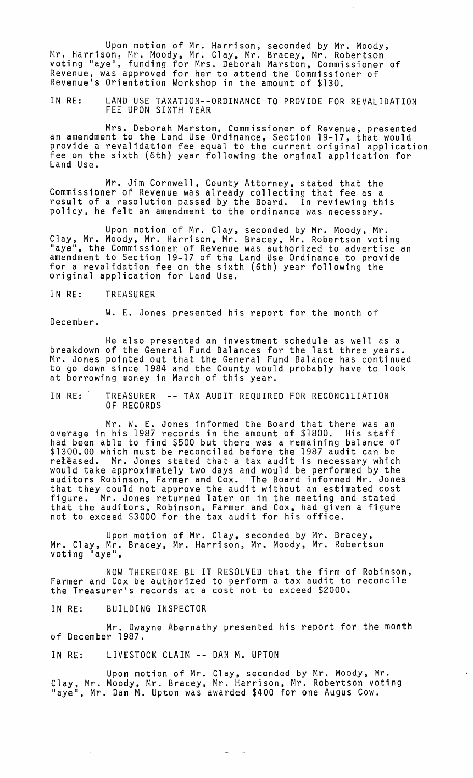Upon motion of Mr. Harrison, seconded by Mr. Moody, Mr. Harrison, Mr. Moody, Mr. Clay, Mr. Bracey, Mr. Robertson voting "aye", funding for Mrs. Deborah Marston, Commissioner of Revenue, was approved for her to attend the Commissioner of Revenue's Orientation Workshop in the amount of \$130.

IN RE: LAND USE TAXATION--ORDINANCE TO PROVIDE FOR REVALIDATION FEE UPON SIXTH YEAR

Mrs. Deborah Marston, Commissioner of Revenue, presented an amendment to the Land Use Ordinance, Section 19-17, that would provide a revalidation fee equal to the current original application fee on the sixth (6th) year following the orginal application for Land Use.

Mr. Jim Cornwell, County Attorney, stated that the Commissioner of Revenue was already collecting that fee as a result of a resolution passed by the Board. In reviewing this policy, he felt an amendment to the ordinance was necessary.

Upon motion of Mr. Clay, seconded by Mr. Moody, Mr. Clay, Mr. Moody, Mr. Harrison, Mr. Bracey, Mr. Robertson voting "aye", the Commissioner of Revenue was authorized to advertise an amendment to Section 19-17 of the Land Use Ordinance to provide<br>for a revalidation fee on the sixth (6th) year following the original application for Land Use.

IN RE: TREASURER

W. E. Jones presented his report for the month of December.

He also presented an investment schedule as well as a breakdown of the General Fund Balances for the last three years. Mr. Jones pointed out that the General Fund Balance has continued to go down since 1984 and the County would probably have to look at borrowing money in March of this year ..

IN RE: TREASURER **--** TAX AUDIT REQUIRED FOR RECONCILIATION OF RECORDS

Mr. W. E. Jones informed the Board that there was an overage in his 1987 records in the amount of \$1800. His staff had been able to find \$500 but there was a remaining balance of \$1300.00 which must be reconciled before the 1987 audit can be released. Mr. Jones stated that a tax audit is necessary which would take approximately two days and would be performed by the auditors Robinson, Farmer and Cox. The Board informed Mr. Jones that they could not approve the audit without an estimated cost figure. Mr. Jones returned later on in the meeting and stated that the auditors, Robinson, Farmer and Cox, had given a figure not to exceed \$3000 for the tax audit for his office.

Upon motion of Mr. Clay, seconded by Mr. Bracey, Mr. Clay, Mr. Bracey, Mr. Harrison, Mr. Moody, Mr. Robertson voting "aye",

NOW THEREFORE BE IT RESOLVED that the firm of Robinson, Farmer and Cox be authorized to perform a tax audit to reconcile the Treasurer's records at a cost not to exceed \$2000.

IN RE: BUILDING INSPECTOR

Mr. Dwayne Abernathy presented his report for the month of December 1987.

IN RE: LIVESTOCK CLAIM **--** DAN M. UPTON

Upon motion of Mr. Clay, seconded by Mr. Moody, Mr. Clay, Mr. Moody, Mr. Bracey, Mr. Harrison, Mr. Robertson voting "aye", Mr. Dan M. Upton was awarded \$400 for one Augus Cow.

 $\frac{1}{2} \sum_{i=1}^{n} \frac{1}{2} \sum_{i=1}^{n} \frac{1}{2} \sum_{i=1}^{n} \frac{1}{2} \sum_{i=1}^{n} \frac{1}{2} \sum_{i=1}^{n} \frac{1}{2} \sum_{i=1}^{n} \frac{1}{2} \sum_{i=1}^{n} \frac{1}{2} \sum_{i=1}^{n} \frac{1}{2} \sum_{i=1}^{n} \frac{1}{2} \sum_{i=1}^{n} \frac{1}{2} \sum_{i=1}^{n} \frac{1}{2} \sum_{i=1}^{n} \frac{1}{2} \sum_{i=1}^{n$ 

 $\Delta$  and  $\Delta$  are  $\Delta$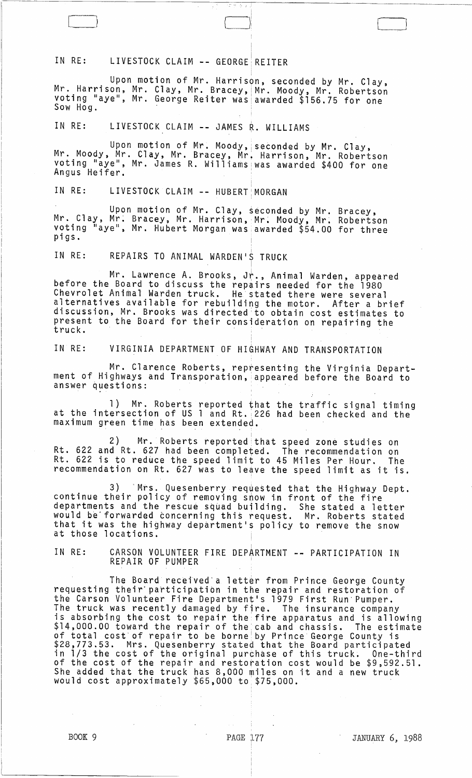# IN RE: LIVESTOCK CLAIM **--** GEORGEiREITER

Upon motion of Mr. Harrison, seconded by Mr. Clay, Mr. Harrison, Mr. Clay, Mr. Bracey, Mr. Moody, Mr. Robertson voting "aye", Mr. George Reiter was!awarded \$156.75 for one Mr. Harrison, Mr. Clay, Mr. Bracey,<br>voting "aye", Mr. George Reiter was<br>Sow Hog.

 $\Box$ 

IN RE: LIVESTOCK CLAIM -- JAMES R. WILLIAMS

Upon motion of Mr. Moody, seconded by Mr. Clay, Mr. Moody, Mr. Clay, Mr. Bracey, Mr: Harrison, Mr. Robertson voting "aye", Mr. James R. Wi11iamsiwas awarded \$400 for one Angus Heifer. '

IN RE: LIVESTOCK CLAIM -- HUBERT MORGAN

Upon motion of Mr. Clay, seconded by Mr. Bracey, Mr. Clay, Mr; Bracey, Mr. Harrison, Mr. Moody, Mr; Robertson voting "aye", Mr. Hubert Morgan was awarded \$54.00 for three pigs.

IN RE: <sup>I</sup> REPAIRS TO ANIMAL WARDEN1S TRUCK

Mr. Lawrence A. Brooks, Jr., Animal Warden, appeared before the Board to discuss the repairs needed for the 1980 Chevrolet Animal Warden truck. He stated there were several alternatives available for rebuilding the motor. After a brief discussion, Mr. Brooks was directed to obtain cost estimates to present to the Board for their consideration on repairing the truck.

I

IN RE: VIRGINIA DEPARTMENT OF HIGHWAY AND TRANSPORTATION

Mr. Clarence Roberts, representing the Virginia Department of Highways and Transporation, appeared before the Board to answer questions:

1) Mr. Roberts reported that the traffic signal timing at the intersection of US 1 and Rt. 226 had been checked and the maximum green time has been extended.

2) Mr. Roberts reported that speed zone studies on Rt. 622 and Rt. 627 had been completed. The recommendation on Rt. 622 is to reduce the speed limit to 45 Miles Per Hour. The recommendation on Rt. 627 was to leave the speed limit as it is.

3) 'Mrs. Quesenberry requested that the Highway Dept. continue their policy of removing show in front of the fire departments and the rescue squad building. She stated a letter would be'forwarded concerning this request. Mr. Roberts stated that it was the highway department's policy to remove the snow at those locations.

IN RE: CARSON VOLUNTEER FIRE DEPARTMENT **--** PARTICIPATION IN REPAIR OF PUMPER

The Board received a letter from Prince George County requesting their'participation in the repair and restoration of the Carson Volunteer Fire Department's 1979 First Run Pumper. The truck was recently damaged by fire. The insurance company is absorbing the cost to repair the fire apparatus and is allowing<br>\$14,000.00 toward the repair of the cab and chassis. The estimate of total cost'of repair to be borne!by Prince George County is \$28,773.53. Mrs. Quesenberry stated that the Board participated in 1/3 the cost of the original purchase of this truck. One-third of the cost of the repair and restoration cost would be \$9,592.51. She added that the truck has 8,000 miles on it and a new truck would cost approximately \$65,000 to \$75,000.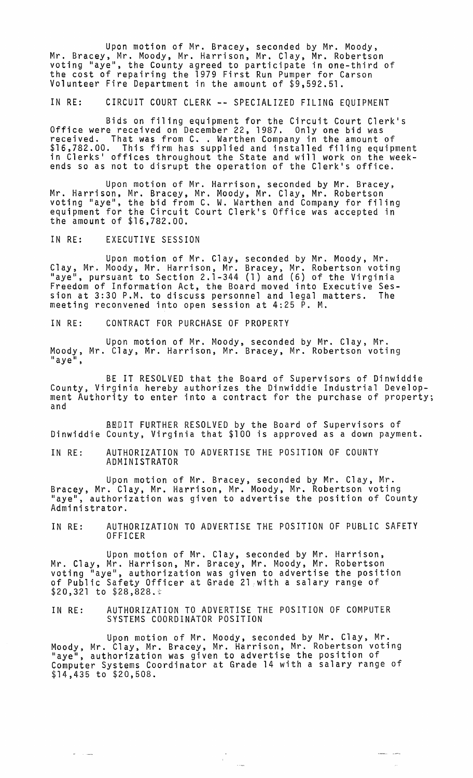Upon motion of Mr. Bracey, seconded by Mr. Moody, Mr. Bracey, Mr. Moody, Mr. Harrison, Mr. Clay, Mr. Robertson voting "aye", the County agreed to participate in one-third of the cost of repairing the 1979 First Run Pumper for Carson Volunteer Fire Department in the amount of \$9,592.51.

IN RE: CIRCUIT COURT CLERK -- SPECIALIZED FILING EQUIPMENT

Bids on filing equipment for the Circuit Court Clerk's Office were received on December 22, 1987. Only one bid was<br>received. That was from C. . Warthen Company in the amount of<br>\$16 782 00. This firm has supplied and installed filing equipm \$16,782.00. This firm has supplied and installed filing equipment in Clerks ' offices throughout the State and will work on the weekin Clerks' offices throughout the State and will work on the week-<br>ends so as not to disrupt the operation of the Clerk's office.

Upon motion of Mr. Harrison, seconded by Mr. Bracey,<br>Mr. Harrison, Mr. Bracey, Mr. Moody, Mr. Clay, Mr. Robertson voting "aye", the bid from C. W. Warthen and Company for filing equipment for the Circuit Court Clerk's Office was accepted in the amount of \$16,782.00.

IN RE: EXECUTIVE SESSION

 $\sigma = 1.5$  and

Upon motion of Mr. Clay, seconded by Mr. Moody, Mr. Clay, Mr. Moody, Mr. Harrison, Mr. Bracey, Mr. Robertson voting "aye", pursuant to Section 2.1-344 (1) and (6) of the Virginia Freedom of Information Act, the Board moved into Executive Session at 3:30 P.M. to discuss personnel and legal matters. The meeting reconvened into open session at 4:25 P. M.

IN RE: CONTRACT FOR PURCHASE OF PROPERTY

Upon motion of Mr. Moody, seconded by Mr. Clay, Mr. Moody, Mr. Clay, Mr. Harrison, Mr. Bracey, Mr. Robertson voting<br>"aye",

BE IT RESOLVED that the Board of Supervisors of Dinwiddie County, Virginia hereby authorizes the Dinwiddie Industrial Development Authority to enter into a contract for the purchase of property;<br>and

REDIT FURTHER RESOLVED by the Board of Supervisors of Dinwiddie County, Virginia that \$100 is approved as a down payment.

IN RE: AUTHORIZATION TO ADVERTISE THE POSITION OF COUNTY ADMINISTRATOR

Upon motion of Mr. Bracey, seconded by Mr. Clay, Mr. Bracey, Mr. Clay, Mr. Harrison, Mr. Moody, Mr. Robertson voting "aye", authorization was given to advertise the position of County Administrator.

IN RE: AUTHORIZATION TO ADVERTISE THE POSITION OF PUBLIC SAFETY OFFICER

Upon motion of Mr. Clay, seconded by Mr. Harrison, Mr. Clay, Mr. Harrison, Mr. Bracey, Mr. Moody, Mr. Robertson voting "aye", authorization was given to advertise the position of Public Safety Officer at Grade 21;with a salary range of  $$20,321$  to  $$28,828.*$ 

IN RE: AUTHORIZATION TO ADVERTISE THE POSITION OF COMPUTER SYSTEMS COORDINATOR POSITION

Upon motion of Mr. Moody, seconded by Mr. Clay, Mr. Moody, Mr. Clay, Mr. Bracey, Mr. Harrison, Mr. Robertson voting<br>"aye", authorization was given to advertise the position of "aye", authorization was given to advertise the position of<br>Computer Systems Coordinator at Grade 14 with a salary range of \$14,435 to \$20,508.

 $\frac{1}{\sqrt{2}}$ 

 $\label{eq:reduced} \begin{split} \mathcal{L}_{\text{in}}(\mathcal{L}_{\text{out}},\mathcal{L}_{\text{out}}) = \mathcal{L}_{\text{out}}(\mathcal{L}_{\text{out}}) \end{split}$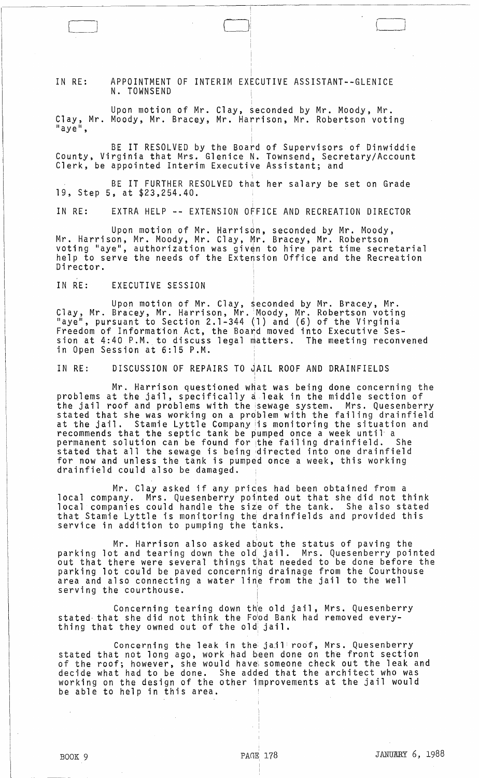IN RE: APPOINTMENT OF INTERIM EXECUTIVE ASSISTANT--GLENICE N. TOWNSEND

I

Upon motion of Mr. Clay, seconded by Mr. Moody, Mr. Clay, Mr. Moody, Mr. Bracey, Mr. Harrison, Mr. Robertson voting<br>"aye",

BE IT RESOLVED by the Board of Supervisors of Dinwiddie County, Virginia that Mrs. Glenice N. Townsend, Secretary/Account<br>Clerk, be appointed Interim Executive Assistant; and

BE IT FURTHER RESOLVED that her salary be set on Grade 19, Step 5, at \$23,254.40.

IN RE: EXTRA HELP -- EXTENSION OFFICE AND RECREATION DIRECTOR

I, Upon motion of Mr. Harrison, seconded by Mr. Moody, Mr. Harrison, Mr. Moody, Mr. Clay, f\;1r. Bracey, Mr. Robertson voting "aye", authorization was given to hire part time secretarial help to serve the needs of the Extension Office and the Recreation Director.

IN RE: EXECUTIVE SESSION

 $\Box$ 

Upon motion of Mr. Clay, seconded by Mr. Bracey, Mr. Clay, Mr. Bracey, Mr. Harrison, Mr. 'Moody, Mr. Robertson voting hay, M. Bracey, M. Marrison, M. Moody, M. Kobertson voting<br>"aye", pursuant to Section 2.1-344 (1) and (6) of the Virginia Freedom of Information Act, the Board moved into Executive Session at 4:40 P.M. to discuss legal matters. The meeting reconvened in Open Session at 6:15 P.M.

IN RE: DISCUSSION OF REPAIRS TO JAIL ROOF AND DRAINFIELDS

Mr. Harrison questioned what was being done concerning the problems at the jail, specifically a leak in the middle section of<br>the jail roof and problems with the sewage system. Mrs. Quesenberry the jail roof and problems with the Isewage system. Mrs. Quesenberry stated that she was working on a prdblem with the failing drainfield at the jail. Stamie Lyttle Company is monitoring the situation and recommends that the septic tank be pumped once a week until- a permanent solution can be found for the failing drainfield. She stated that all the sewage is being directed into one drainfield for now and unless the tank is pumped once a week, this working<br>drainfield could also be damaged.

Mr. Clay asked if any prices had been obtained from a local company. Mrs. Quesenberry pointed out that she did not think local companies could handle the site of the tank. She also stated that Stamie Lyttle is monitoring the drainfields and provided this service in addition to pumping the tanks.

Mr. Harrison also asked about the status of paving the parking lot and tearing down the old jail. Mrs. Quesenberry pointed out that there were several things ihat needed to be done before the parking lot could be paved concernirig drainage from the Courthouse parking for courd be paved concerning didinage from one couroned serving the courthouse.

,

Concerning tearing down the old jail, Mrs. Quesenberry stated- that she did not think the Fo'od Bank had removed every- thing that they owned out of the old: jail.

Concerning the leak in the jail roof, Mrs. Quesenberry stated that not long ago, work had heen done on the front section of the roof; however, she would have, someone check out the leak and decide what had to be done. She added that the architect who was working on the design of the other improvements at the jail would be able to help in this area.

.<br>ا J